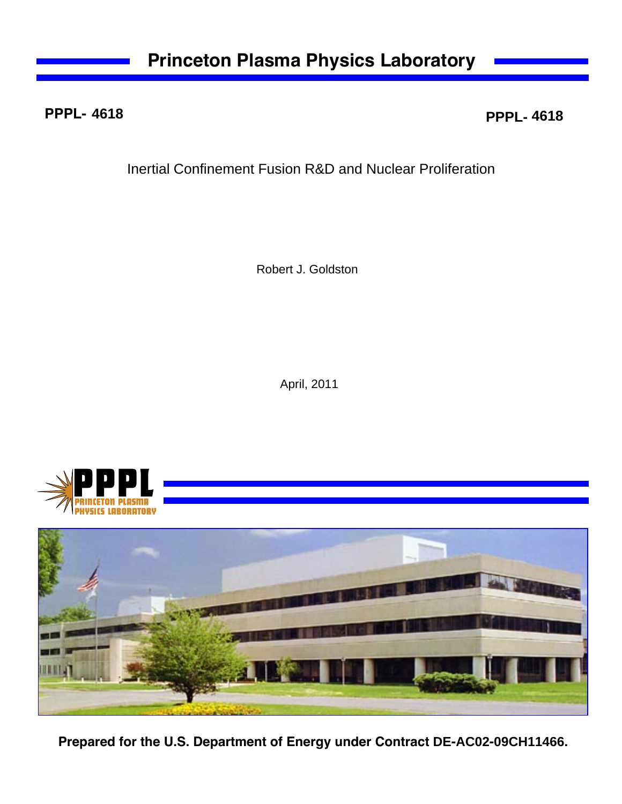## **PPPL-**

**4618 PPPL- 4618**

Inertial Confinement Fusion R&D and Nuclear Proliferation

Robert J. Goldston

April, 2011





**Prepared for the U.S. Department of Energy under Contract DE-AC02-09CH11466.**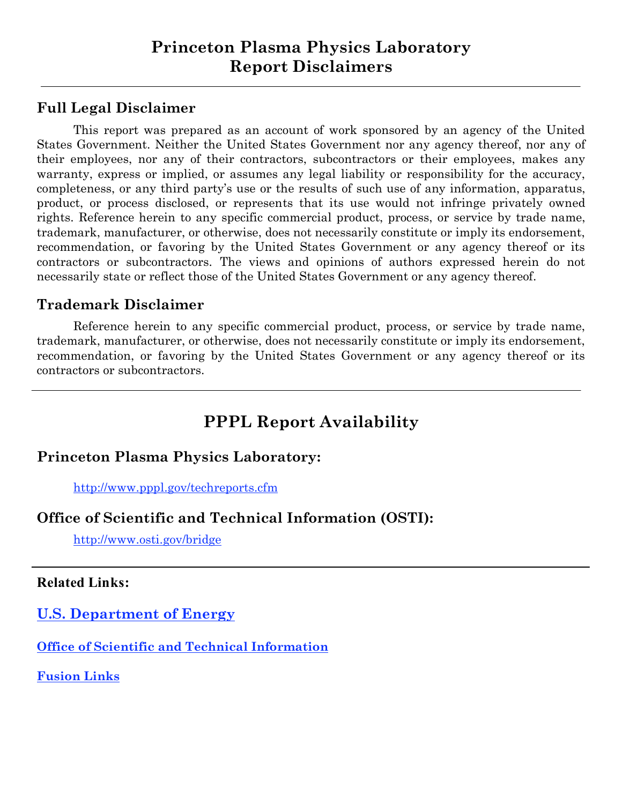# **Full Legal Disclaimer**

This report was prepared as an account of work sponsored by an agency of the United States Government. Neither the United States Government nor any agency thereof, nor any of their employees, nor any of their contractors, subcontractors or their employees, makes any warranty, express or implied, or assumes any legal liability or responsibility for the accuracy, completeness, or any third party's use or the results of such use of any information, apparatus, product, or process disclosed, or represents that its use would not infringe privately owned rights. Reference herein to any specific commercial product, process, or service by trade name, trademark, manufacturer, or otherwise, does not necessarily constitute or imply its endorsement, recommendation, or favoring by the United States Government or any agency thereof or its contractors or subcontractors. The views and opinions of authors expressed herein do not necessarily state or reflect those of the United States Government or any agency thereof.

#### **Trademark Disclaimer**

Reference herein to any specific commercial product, process, or service by trade name, trademark, manufacturer, or otherwise, does not necessarily constitute or imply its endorsement, recommendation, or favoring by the United States Government or any agency thereof or its contractors or subcontractors.

# **PPPL Report Availability**

### **Princeton Plasma Physics Laboratory:**

http://www.pppl.gov/techreports.cfm

### **Office of Scientific and Technical Information (OSTI):**

http://www.osti.gov/bridge

#### **Related Links:**

**U.S. Department of Energy**

**Office of Scientific and Technical Information**

**Fusion Links**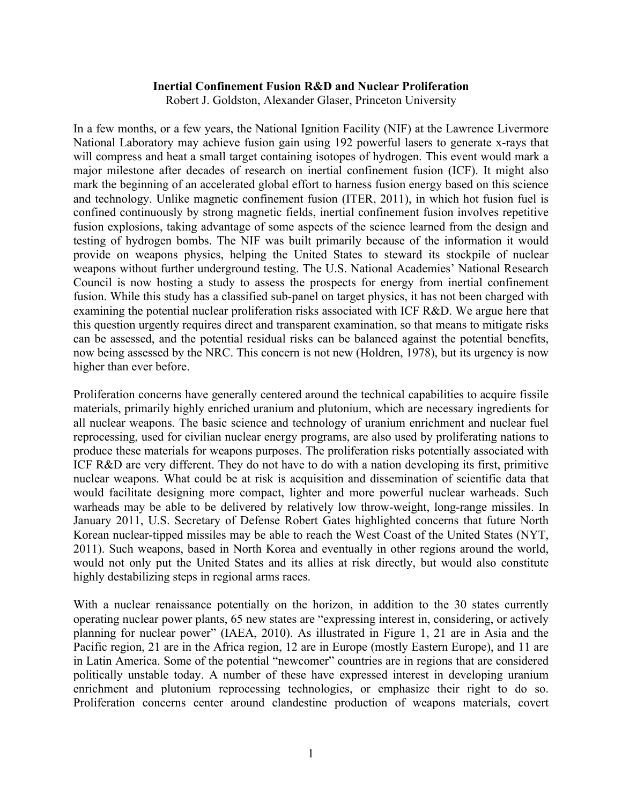#### **Inertial Confinement Fusion R&D and Nuclear Proliferation**

Robert J. Goldston, Alexander Glaser, Princeton University

In a few months, or a few years, the National Ignition Facility (NIF) at the Lawrence Livermore National Laboratory may achieve fusion gain using 192 powerful lasers to generate x-rays that will compress and heat a small target containing isotopes of hydrogen. This event would mark a major milestone after decades of research on inertial confinement fusion (ICF). It might also mark the beginning of an accelerated global effort to harness fusion energy based on this science and technology. Unlike magnetic confinement fusion (ITER, 2011), in which hot fusion fuel is confined continuously by strong magnetic fields, inertial confinement fusion involves repetitive fusion explosions, taking advantage of some aspects of the science learned from the design and testing of hydrogen bombs. The NIF was built primarily because of the information it would provide on weapons physics, helping the United States to steward its stockpile of nuclear weapons without further underground testing. The U.S. National Academies' National Research Council is now hosting a study to assess the prospects for energy from inertial confinement fusion. While this study has a classified sub-panel on target physics, it has not been charged with examining the potential nuclear proliferation risks associated with ICF R&D. We argue here that this question urgently requires direct and transparent examination, so that means to mitigate risks can be assessed, and the potential residual risks can be balanced against the potential benefits, now being assessed by the NRC. This concern is not new (Holdren, 1978), but its urgency is now higher than ever before.

Proliferation concerns have generally centered around the technical capabilities to acquire fissile materials, primarily highly enriched uranium and plutonium, which are necessary ingredients for all nuclear weapons. The basic science and technology of uranium enrichment and nuclear fuel reprocessing, used for civilian nuclear energy programs, are also used by proliferating nations to produce these materials for weapons purposes. The proliferation risks potentially associated with ICF R&D are very different. They do not have to do with a nation developing its first, primitive nuclear weapons. What could be at risk is acquisition and dissemination of scientific data that would facilitate designing more compact, lighter and more powerful nuclear warheads. Such warheads may be able to be delivered by relatively low throw-weight, long-range missiles. In January 2011, U.S. Secretary of Defense Robert Gates highlighted concerns that future North Korean nuclear-tipped missiles may be able to reach the West Coast of the United States (NYT, 2011). Such weapons, based in North Korea and eventually in other regions around the world, would not only put the United States and its allies at risk directly, but would also constitute highly destabilizing steps in regional arms races.

With a nuclear renaissance potentially on the horizon, in addition to the 30 states currently operating nuclear power plants, 65 new states are "expressing interest in, considering, or actively planning for nuclear power" (IAEA, 2010). As illustrated in Figure 1, 21 are in Asia and the Pacific region, 21 are in the Africa region, 12 are in Europe (mostly Eastern Europe), and 11 are in Latin America. Some of the potential "newcomer" countries are in regions that are considered politically unstable today. A number of these have expressed interest in developing uranium enrichment and plutonium reprocessing technologies, or emphasize their right to do so. Proliferation concerns center around clandestine production of weapons materials, covert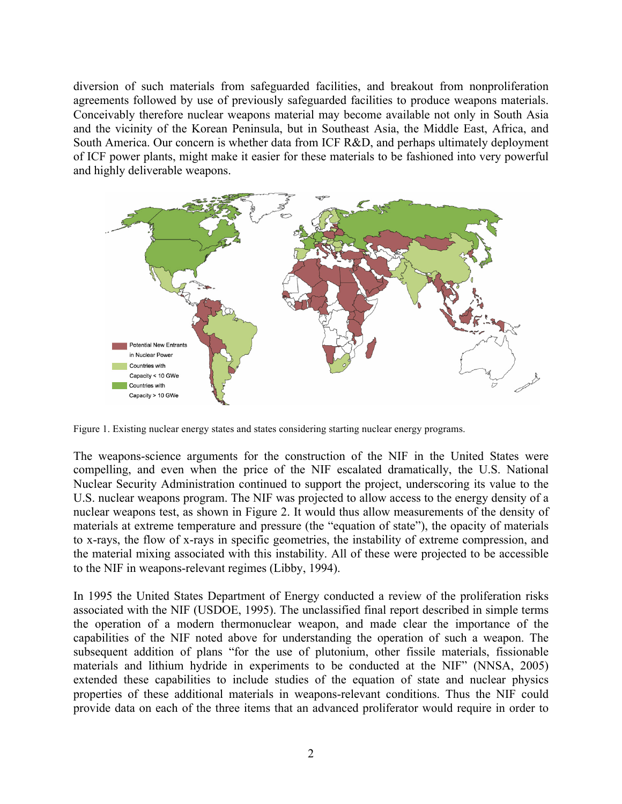diversion of such materials from safeguarded facilities, and breakout from nonproliferation agreements followed by use of previously safeguarded facilities to produce weapons materials. Conceivably therefore nuclear weapons material may become available not only in South Asia and the vicinity of the Korean Peninsula, but in Southeast Asia, the Middle East, Africa, and South America. Our concern is whether data from ICF R&D, and perhaps ultimately deployment of ICF power plants, might make it easier for these materials to be fashioned into very powerful and highly deliverable weapons.



Figure 1. Existing nuclear energy states and states considering starting nuclear energy programs.

The weapons-science arguments for the construction of the NIF in the United States were compelling, and even when the price of the NIF escalated dramatically, the U.S. National Nuclear Security Administration continued to support the project, underscoring its value to the U.S. nuclear weapons program. The NIF was projected to allow access to the energy density of a nuclear weapons test, as shown in Figure 2. It would thus allow measurements of the density of materials at extreme temperature and pressure (the "equation of state"), the opacity of materials to x-rays, the flow of x-rays in specific geometries, the instability of extreme compression, and the material mixing associated with this instability. All of these were projected to be accessible to the NIF in weapons-relevant regimes (Libby, 1994).

In 1995 the United States Department of Energy conducted a review of the proliferation risks associated with the NIF (USDOE, 1995). The unclassified final report described in simple terms the operation of a modern thermonuclear weapon, and made clear the importance of the capabilities of the NIF noted above for understanding the operation of such a weapon. The subsequent addition of plans "for the use of plutonium, other fissile materials, fissionable materials and lithium hydride in experiments to be conducted at the NIF" (NNSA, 2005) extended these capabilities to include studies of the equation of state and nuclear physics properties of these additional materials in weapons-relevant conditions. Thus the NIF could provide data on each of the three items that an advanced proliferator would require in order to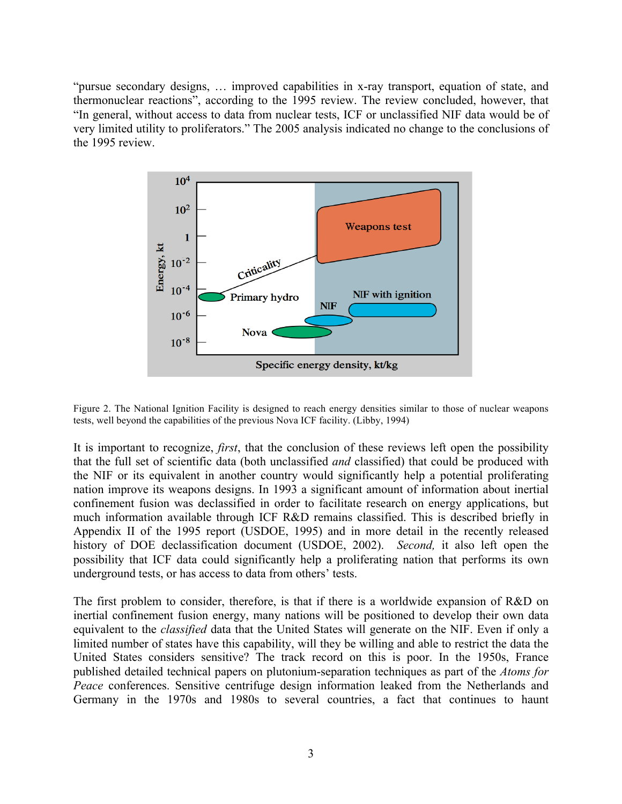"pursue secondary designs, … improved capabilities in x-ray transport, equation of state, and thermonuclear reactions", according to the 1995 review. The review concluded, however, that "In general, without access to data from nuclear tests, ICF or unclassified NIF data would be of very limited utility to proliferators." The 2005 analysis indicated no change to the conclusions of the 1995 review.



Figure 2. The National Ignition Facility is designed to reach energy densities similar to those of nuclear weapons tests, well beyond the capabilities of the previous Nova ICF facility. (Libby, 1994)

It is important to recognize, *first*, that the conclusion of these reviews left open the possibility that the full set of scientific data (both unclassified *and* classified) that could be produced with the NIF or its equivalent in another country would significantly help a potential proliferating nation improve its weapons designs. In 1993 a significant amount of information about inertial confinement fusion was declassified in order to facilitate research on energy applications, but much information available through ICF R&D remains classified. This is described briefly in Appendix II of the 1995 report (USDOE, 1995) and in more detail in the recently released history of DOE declassification document (USDOE, 2002). *Second,* it also left open the possibility that ICF data could significantly help a proliferating nation that performs its own underground tests, or has access to data from others' tests.

The first problem to consider, therefore, is that if there is a worldwide expansion of R&D on inertial confinement fusion energy, many nations will be positioned to develop their own data equivalent to the *classified* data that the United States will generate on the NIF. Even if only a limited number of states have this capability, will they be willing and able to restrict the data the United States considers sensitive? The track record on this is poor. In the 1950s, France published detailed technical papers on plutonium-separation techniques as part of the *Atoms for Peace* conferences. Sensitive centrifuge design information leaked from the Netherlands and Germany in the 1970s and 1980s to several countries, a fact that continues to haunt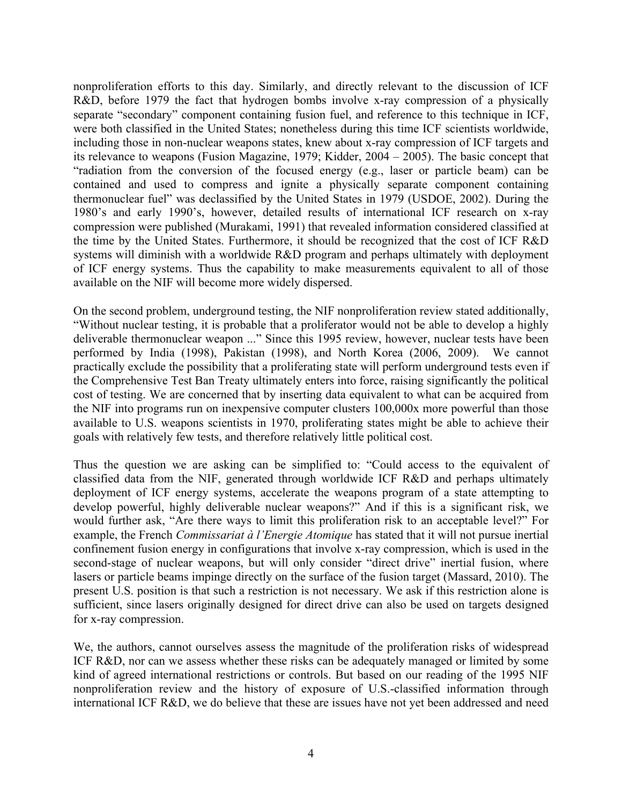nonproliferation efforts to this day. Similarly, and directly relevant to the discussion of ICF R&D, before 1979 the fact that hydrogen bombs involve x-ray compression of a physically separate "secondary" component containing fusion fuel, and reference to this technique in ICF, were both classified in the United States; nonetheless during this time ICF scientists worldwide, including those in non-nuclear weapons states, knew about x-ray compression of ICF targets and its relevance to weapons (Fusion Magazine, 1979; Kidder, 2004 – 2005). The basic concept that "radiation from the conversion of the focused energy (e.g., laser or particle beam) can be contained and used to compress and ignite a physically separate component containing thermonuclear fuel" was declassified by the United States in 1979 (USDOE, 2002). During the 1980's and early 1990's, however, detailed results of international ICF research on x-ray compression were published (Murakami, 1991) that revealed information considered classified at the time by the United States. Furthermore, it should be recognized that the cost of ICF R&D systems will diminish with a worldwide R&D program and perhaps ultimately with deployment of ICF energy systems. Thus the capability to make measurements equivalent to all of those available on the NIF will become more widely dispersed.

On the second problem, underground testing, the NIF nonproliferation review stated additionally, "Without nuclear testing, it is probable that a proliferator would not be able to develop a highly deliverable thermonuclear weapon ..." Since this 1995 review, however, nuclear tests have been performed by India (1998), Pakistan (1998), and North Korea (2006, 2009). We cannot practically exclude the possibility that a proliferating state will perform underground tests even if the Comprehensive Test Ban Treaty ultimately enters into force, raising significantly the political cost of testing. We are concerned that by inserting data equivalent to what can be acquired from the NIF into programs run on inexpensive computer clusters 100,000x more powerful than those available to U.S. weapons scientists in 1970, proliferating states might be able to achieve their goals with relatively few tests, and therefore relatively little political cost.

Thus the question we are asking can be simplified to: "Could access to the equivalent of classified data from the NIF, generated through worldwide ICF R&D and perhaps ultimately deployment of ICF energy systems, accelerate the weapons program of a state attempting to develop powerful, highly deliverable nuclear weapons?" And if this is a significant risk, we would further ask, "Are there ways to limit this proliferation risk to an acceptable level?" For example, the French *Commissariat à l'Energie Atomique* has stated that it will not pursue inertial confinement fusion energy in configurations that involve x-ray compression, which is used in the second-stage of nuclear weapons, but will only consider "direct drive" inertial fusion, where lasers or particle beams impinge directly on the surface of the fusion target (Massard, 2010). The present U.S. position is that such a restriction is not necessary. We ask if this restriction alone is sufficient, since lasers originally designed for direct drive can also be used on targets designed for x-ray compression.

We, the authors, cannot ourselves assess the magnitude of the proliferation risks of widespread ICF R&D, nor can we assess whether these risks can be adequately managed or limited by some kind of agreed international restrictions or controls. But based on our reading of the 1995 NIF nonproliferation review and the history of exposure of U.S.-classified information through international ICF R&D, we do believe that these are issues have not yet been addressed and need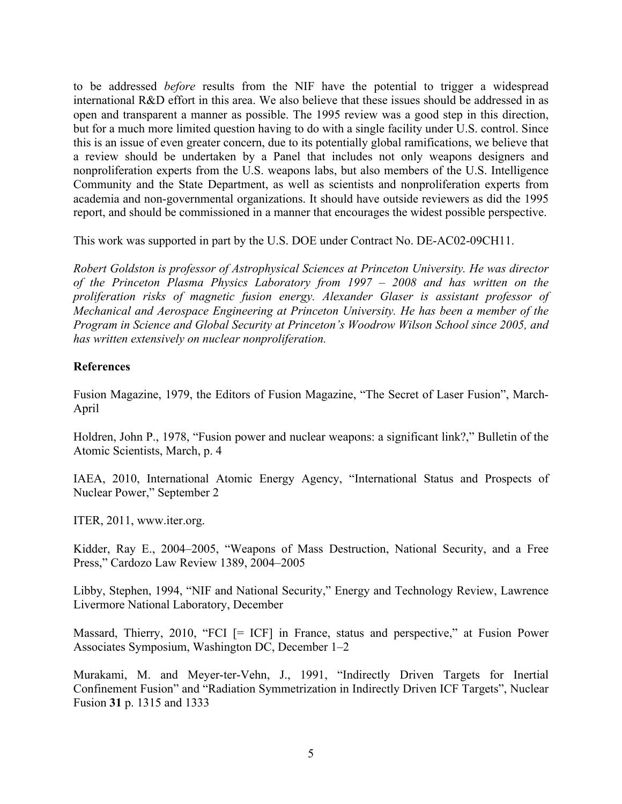to be addressed *before* results from the NIF have the potential to trigger a widespread international R&D effort in this area. We also believe that these issues should be addressed in as open and transparent a manner as possible. The 1995 review was a good step in this direction, but for a much more limited question having to do with a single facility under U.S. control. Since this is an issue of even greater concern, due to its potentially global ramifications, we believe that a review should be undertaken by a Panel that includes not only weapons designers and nonproliferation experts from the U.S. weapons labs, but also members of the U.S. Intelligence Community and the State Department, as well as scientists and nonproliferation experts from academia and non-governmental organizations. It should have outside reviewers as did the 1995 report, and should be commissioned in a manner that encourages the widest possible perspective.

This work was supported in part by the U.S. DOE under Contract No. DE-AC02-09CH11.

*Robert Goldston is professor of Astrophysical Sciences at Princeton University. He was director of the Princeton Plasma Physics Laboratory from 1997 – 2008 and has written on the proliferation risks of magnetic fusion energy. Alexander Glaser is assistant professor of Mechanical and Aerospace Engineering at Princeton University. He has been a member of the Program in Science and Global Security at Princeton's Woodrow Wilson School since 2005, and has written extensively on nuclear nonproliferation.*

#### **References**

Fusion Magazine, 1979, the Editors of Fusion Magazine, "The Secret of Laser Fusion", March-April

Holdren, John P., 1978, "Fusion power and nuclear weapons: a significant link?," Bulletin of the Atomic Scientists, March, p. 4

IAEA, 2010, International Atomic Energy Agency, "International Status and Prospects of Nuclear Power," September 2

ITER, 2011, www.iter.org.

Kidder, Ray E., 2004–2005, "Weapons of Mass Destruction, National Security, and a Free Press," Cardozo Law Review 1389, 2004–2005

Libby, Stephen, 1994, "NIF and National Security," Energy and Technology Review, Lawrence Livermore National Laboratory, December

Massard, Thierry, 2010, "FCI [= ICF] in France, status and perspective," at Fusion Power Associates Symposium, Washington DC, December 1–2

Murakami, M. and Meyer-ter-Vehn, J., 1991, "Indirectly Driven Targets for Inertial Confinement Fusion" and "Radiation Symmetrization in Indirectly Driven ICF Targets", Nuclear Fusion **31** p. 1315 and 1333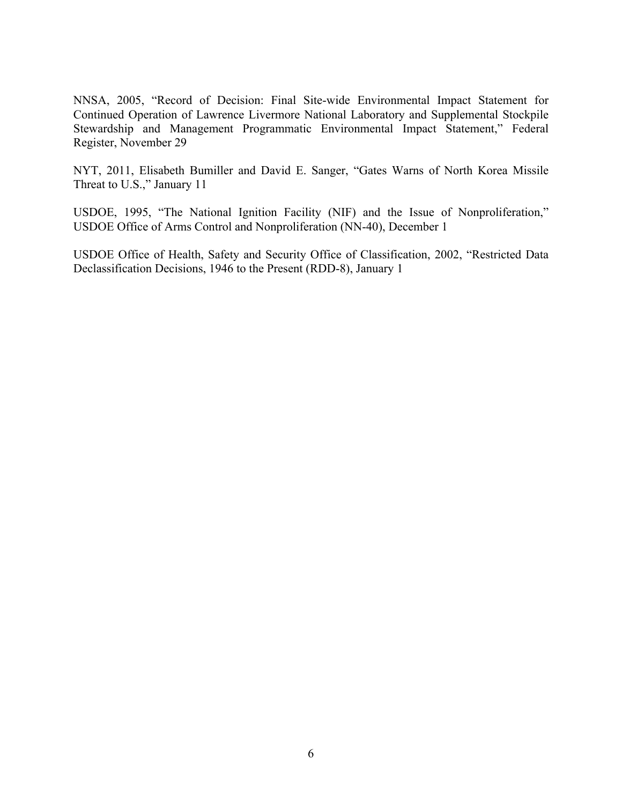NNSA, 2005, "Record of Decision: Final Site-wide Environmental Impact Statement for Continued Operation of Lawrence Livermore National Laboratory and Supplemental Stockpile Stewardship and Management Programmatic Environmental Impact Statement," Federal Register, November 29

NYT, 2011, Elisabeth Bumiller and David E. Sanger, "Gates Warns of North Korea Missile Threat to U.S.," January 11

USDOE, 1995, "The National Ignition Facility (NIF) and the Issue of Nonproliferation," USDOE Office of Arms Control and Nonproliferation (NN-40), December 1

USDOE Office of Health, Safety and Security Office of Classification, 2002, "Restricted Data Declassification Decisions, 1946 to the Present (RDD-8), January 1